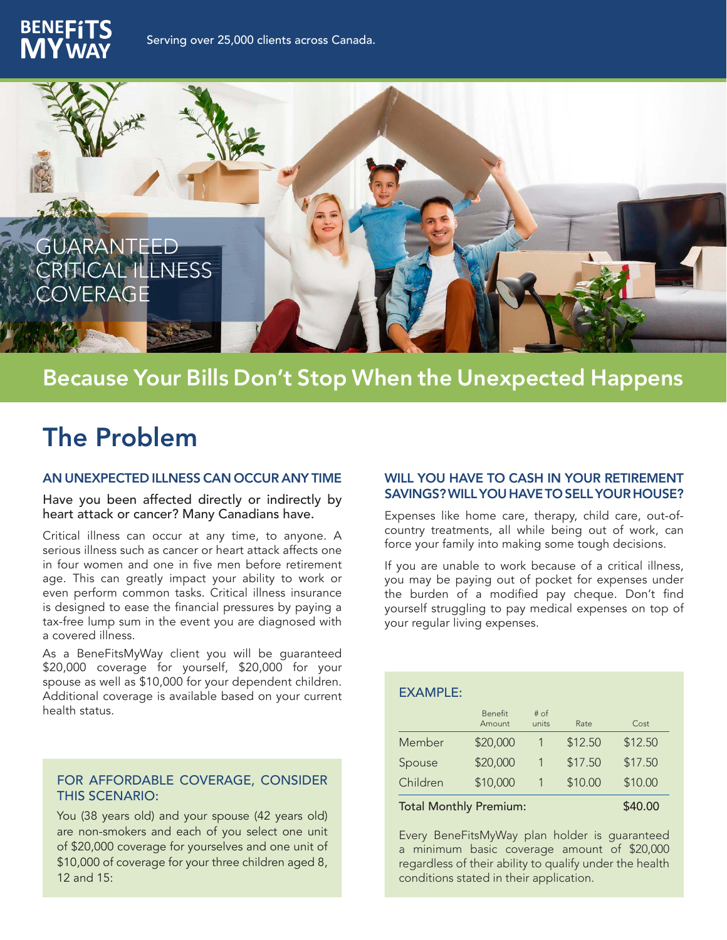



## Because Your Bills Don't Stop When the Unexpected Happens

# The Problem

#### AN UNEXPECTED ILLNESS CAN OCCUR ANY TIME

Have you been affected directly or indirectly by heart attack or cancer? Many Canadians have.

Critical illness can occur at any time, to anyone. A serious illness such as cancer or heart attack affects one in four women and one in five men before retirement age. This can greatly impact your ability to work or even perform common tasks. Critical illness insurance is designed to ease the financial pressures by paying a tax-free lump sum in the event you are diagnosed with a covered illness.

As a BeneFitsMyWay client you will be guaranteed \$20,000 coverage for yourself, \$20,000 for your spouse as well as \$10,000 for your dependent children. Additional coverage is available based on your current health status.

#### FOR AFFORDABLE COVERAGE, CONSIDER THIS SCENARIO:

You (38 years old) and your spouse (42 years old) are non-smokers and each of you select one unit of \$20,000 coverage for yourselves and one unit of \$10,000 of coverage for your three children aged 8, 12 and 15:

#### WILL YOU HAVE TO CASH IN YOUR RETIREMENT SAVINGS? WILL YOU HAVE TO SELL YOUR HOUSE?

Expenses like home care, therapy, child care, out-ofcountry treatments, all while being out of work, can force your family into making some tough decisions.

If you are unable to work because of a critical illness, you may be paying out of pocket for expenses under the burden of a modified pay cheque. Don't find yourself struggling to pay medical expenses on top of your regular living expenses.

#### EXAMPLE:

|          | <b>Benefit</b><br>Amount | # of<br>units | Rate    | Cost    |
|----------|--------------------------|---------------|---------|---------|
| Member   | \$20,000                 |               | \$12.50 | \$12.50 |
| Spouse   | \$20,000                 |               | \$17.50 | \$17.50 |
| Children | \$10,000                 |               | \$10.00 | \$10.00 |
|          |                          |               |         | .       |

#### Total Monthly Premium: \$40.00

Every BeneFitsMyWay plan holder is guaranteed a minimum basic coverage amount of \$20,000 regardless of their ability to qualify under the health conditions stated in their application.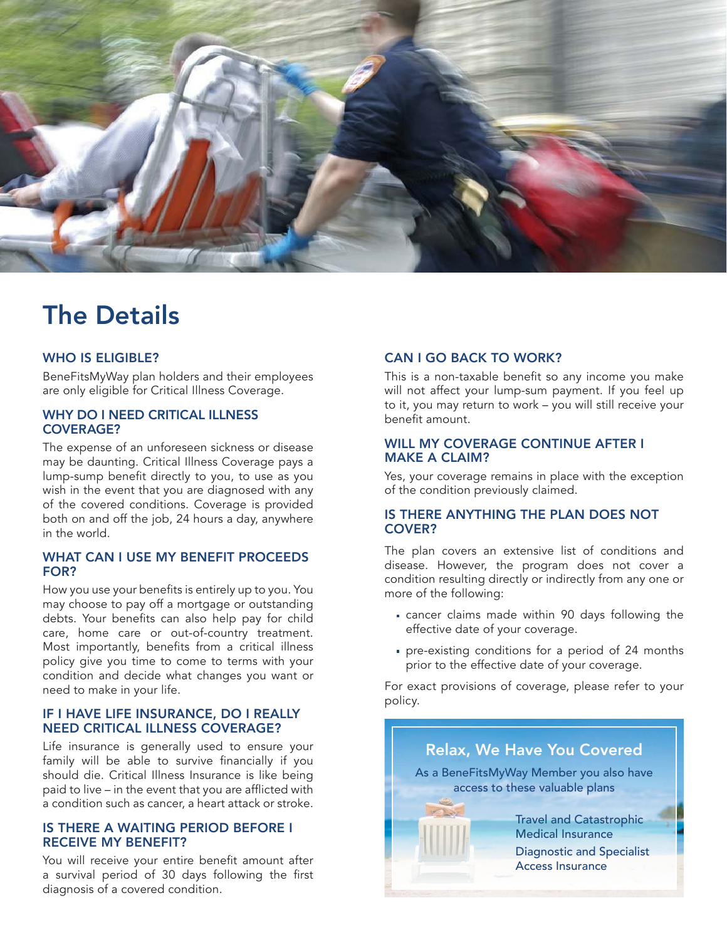

# The Details

#### WHO IS ELIGIBLE?

BeneFitsMyWay plan holders and their employees are only eligible for Critical Illness Coverage.

#### WHY DO I NEED CRITICAL ILLNESS COVERAGE?

The expense of an unforeseen sickness or disease may be daunting. Critical Illness Coverage pays a lump-sump benefit directly to you, to use as you wish in the event that you are diagnosed with any of the covered conditions. Coverage is provided both on and off the job, 24 hours a day, anywhere in the world.

#### WHAT CAN I USE MY BENEFIT PROCEEDS FOR?

How you use your benefits is entirely up to you. You may choose to pay off a mortgage or outstanding debts. Your benefits can also help pay for child care, home care or out-of-country treatment. Most importantly, benefits from a critical illness policy give you time to come to terms with your condition and decide what changes you want or need to make in your life.

#### IF I HAVE LIFE INSURANCE, DO I REALLY NEED CRITICAL ILLNESS COVERAGE?

Life insurance is generally used to ensure your family will be able to survive financially if you should die. Critical Illness Insurance is like being paid to live – in the event that you are afflicted with a condition such as cancer, a heart attack or stroke.

#### IS THERE A WAITING PERIOD BEFORE I RECEIVE MY BENEFIT?

You will receive your entire benefit amount after a survival period of 30 days following the first diagnosis of a covered condition.

### CAN I GO BACK TO WORK?

This is a non-taxable benefit so any income you make will not affect your lump-sum payment. If you feel up to it, you may return to work – you will still receive your benefit amount.

#### WILL MY COVERAGE CONTINUE AFTER I MAKE A CLAIM?

Yes, your coverage remains in place with the exception of the condition previously claimed.

#### IS THERE ANYTHING THE PLAN DOES NOT COVER?

The plan covers an extensive list of conditions and disease. However, the program does not cover a condition resulting directly or indirectly from any one or more of the following:

- cancer claims made within 90 days following the effective date of your coverage.
- pre-existing conditions for a period of 24 months prior to the effective date of your coverage.

For exact provisions of coverage, please refer to your policy.